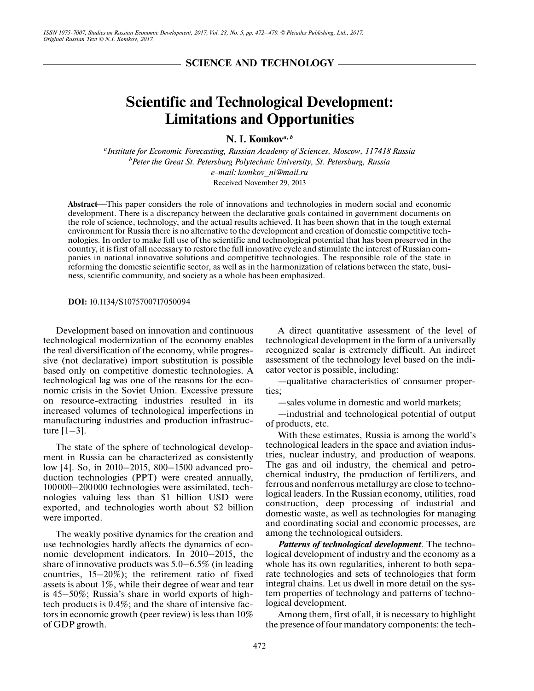**SCIENCE AND TECHNOLOGY**

## **Scientific and Technological Development: Limitations and Opportunities**

**N. I. Komkov***a***,** *<sup>b</sup>*

*aInstitute for Economic Forecasting, Russian Academy of Sciences, Moscow, 117418 Russia b Peter the Great St. Petersburg Polytechnic University, St. Petersburg, Russia e-mail: komkov\_ni@mail.ru* Received November 29, 2013

Abstract—This paper considers the role of innovations and technologies in modern social and economic development. There is a discrepancy between the declarative goals contained in government documents on the role of science, technology, and the actual results achieved. It has been shown that in the tough external environment for Russia there is no alternative to the development and creation of domestic competitive technologies. In order to make full use of the scientific and technological potential that has been preserved in the country, it is first of all necessary to restore the full innovative cycle and stimulate the interest of Russian companies in national innovative solutions and competitive technologies. The responsible role of the state in reforming the domestic scientific sector, as well as in the harmonization of relations between the state, business, scientific community, and society as a whole has been emphasized.

**DOI:** 10.1134/S1075700717050094

Development based on innovation and continuous technological modernization of the economy enables the real diversification of the economy, while progressive (not declarative) import substitution is possible based only on competitive domestic technologies. A technological lag was one of the reasons for the economic crisis in the Soviet Union. Excessive pressure on resource-extracting industries resulted in its increased volumes of technological imperfections in manufacturing industries and production infrastructure  $[1-3]$ .

The state of the sphere of technological development in Russia can be characterized as consistently low [4]. So, in 2010–2015, 800–1500 advanced production technologies (PPT) were created annually, 100000–200000 technologies were assimilated, technologies valuing less than \$1 billion USD were exported, and technologies worth about \$2 billion were imported.

The weakly positive dynamics for the creation and use technologies hardly affects the dynamics of economic development indicators. In 2010–2015, the share of innovative products was 5.0–6.5% (in leading countries, 15–20%); the retirement ratio of fixed assets is about 1%, while their degree of wear and tear is 45–50%; Russia's share in world exports of hightech products is 0.4%; and the share of intensive factors in economic growth (peer review) is less than 10% of GDP growth.

A direct quantitative assessment of the level of technological development in the form of a universally recognized scalar is extremely difficult. An indirect assessment of the technology level based on the indicator vector is possible, including:

—qualitative characteristics of consumer properties;

—sales volume in domestic and world markets;

—industrial and technological potential of output of products, etc.

With these estimates, Russia is among the world's technological leaders in the space and aviation industries, nuclear industry, and production of weapons. The gas and oil industry, the chemical and petrochemical industry, the production of fertilizers, and ferrous and nonferrous metallurgy are close to technological leaders. In the Russian economy, utilities, road construction, deep processing of industrial and domestic waste, as well as technologies for managing and coordinating social and economic processes, are among the technological outsiders.

*Patterns of technological development*. The technological development of industry and the economy as a whole has its own regularities, inherent to both separate technologies and sets of technologies that form integral chains. Let us dwell in more detail on the system properties of technology and patterns of technological development.

Among them, first of all, it is necessary to highlight the presence of four mandatory components: the tech-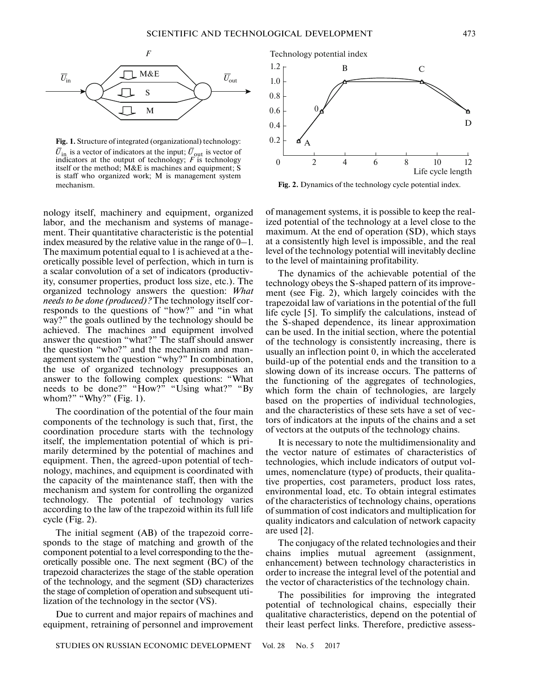

**Fig. 1.** Structure of integrated (organizational) technology: is a vector of indicators at the input;  $\overline{U}_{\text{out}}$  is vector of  $\overline{U}_{\text{in}}$  is a vector of indicators at the input;  $\overline{U}_{\text{out}}$  is vector of indicators at the output of technology; *F* is technology itself or the method; M&E is machines and equipment; S is staff who organized work; M is management system mechanism.

nology itself, machinery and equipment, organized labor, and the mechanism and systems of management. Their quantitative characteristic is the potential index measured by the relative value in the range of 0–1. The maximum potential equal to 1 is achieved at a theoretically possible level of perfection, which in turn is a scalar convolution of a set of indicators (productivity, consumer properties, product loss size, etc.). The organized technology answers the question: *What needs to be done (produced)?* The technology itself corresponds to the questions of "how?" and "in what way?" the goals outlined by the technology should be achieved. The machines and equipment involved answer the question "what?" The staff should answer the question "who?" and the mechanism and management system the question "why?" In combination, the use of organized technology presupposes an answer to the following complex questions: "What needs to be done?" "How?" "Using what?" "By whom?" "Why?" (Fig. 1).

The coordination of the potential of the four main components of the technology is such that, first, the coordination procedure starts with the technology itself, the implementation potential of which is primarily determined by the potential of machines and equipment. Then, the agreed-upon potential of technology, machines, and equipment is coordinated with the capacity of the maintenance staff, then with the mechanism and system for controlling the organized technology. The potential of technology varies according to the law of the trapezoid within its full life cycle (Fig. 2).

The initial segment (AB) of the trapezoid corresponds to the stage of matching and growth of the component potential to a level corresponding to the theoretically possible one. The next segment (BC) of the trapezoid characterizes the stage of the stable operation of the technology, and the segment (SD) characterizes the stage of completion of operation and subsequent utilization of the technology in the sector (VS).

Due to current and major repairs of machines and equipment, retraining of personnel and improvement



**Fig. 2.** Dynamics of the technology cycle potential index.

of management systems, it is possible to keep the realized potential of the technology at a level close to the maximum. At the end of operation (SD), which stays at a consistently high level is impossible, and the real level of the technology potential will inevitably decline to the level of maintaining profitability.

The dynamics of the achievable potential of the technology obeys the S-shaped pattern of its improvement (see Fig. 2), which largely coincides with the trapezoidal law of variations in the potential of the full life cycle [5]. To simplify the calculations, instead of the S-shaped dependence, its linear approximation can be used. In the initial section, where the potential of the technology is consistently increasing, there is usually an inflection point 0, in which the accelerated build-up of the potential ends and the transition to a slowing down of its increase occurs. The patterns of the functioning of the aggregates of technologies, which form the chain of technologies, are largely based on the properties of individual technologies, and the characteristics of these sets have a set of vectors of indicators at the inputs of the chains and a set of vectors at the outputs of the technology chains.

It is necessary to note the multidimensionality and the vector nature of estimates of characteristics of technologies, which include indicators of output volumes, nomenclature (type) of products, their qualitative properties, cost parameters, product loss rates, environmental load, etc. To obtain integral estimates of the characteristics of technology chains, operations of summation of cost indicators and multiplication for quality indicators and calculation of network capacity are used [2].

The conjugacy of the related technologies and their chains implies mutual agreement (assignment, enhancement) between technology characteristics in order to increase the integral level of the potential and the vector of characteristics of the technology chain.

The possibilities for improving the integrated potential of technological chains, especially their qualitative characteristics, depend on the potential of their least perfect links. Therefore, predictive assess-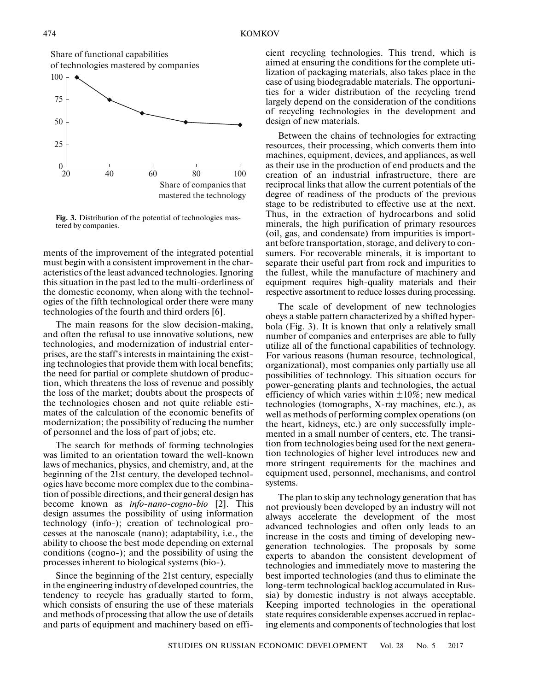

**Fig. 3.** Distribution of the potential of technologies mastered by companies.

ments of the improvement of the integrated potential must begin with a consistent improvement in the characteristics of the least advanced technologies. Ignoring this situation in the past led to the multi-orderliness of the domestic economy, when along with the technologies of the fifth technological order there were many technologies of the fourth and third orders [6].

The main reasons for the slow decision-making, and often the refusal to use innovative solutions, new technologies, and modernization of industrial enterprises, are the staff's interests in maintaining the existing technologies that provide them with local benefits; the need for partial or complete shutdown of production, which threatens the loss of revenue and possibly the loss of the market; doubts about the prospects of the technologies chosen and not quite reliable estimates of the calculation of the economic benefits of modernization; the possibility of reducing the number of personnel and the loss of part of jobs; etc.

The search for methods of forming technologies was limited to an orientation toward the well-known laws of mechanics, physics, and chemistry, and, at the beginning of the 21st century, the developed technologies have become more complex due to the combination of possible directions, and their general design has become known as *info-nano-cogno-bio* [2]. This design assumes the possibility of using information technology (info-); creation of technological processes at the nanoscale (nano); adaptability, i.e., the ability to choose the best mode depending on external conditions (cogno-); and the possibility of using the processes inherent to biological systems (bio-).

Since the beginning of the 21st century, especially in the engineering industry of developed countries, the tendency to recycle has gradually started to form, which consists of ensuring the use of these materials and methods of processing that allow the use of details and parts of equipment and machinery based on efficient recycling technologies. This trend, which is aimed at ensuring the conditions for the complete utilization of packaging materials, also takes place in the case of using biodegradable materials. The opportunities for a wider distribution of the recycling trend largely depend on the consideration of the conditions of recycling technologies in the development and design of new materials.

Between the chains of technologies for extracting resources, their processing, which converts them into machines, equipment, devices, and appliances, as well as their use in the production of end products and the creation of an industrial infrastructure, there are reciprocal links that allow the current potentials of the degree of readiness of the products of the previous stage to be redistributed to effective use at the next. Thus, in the extraction of hydrocarbons and solid minerals, the high purification of primary resources (oil, gas, and condensate) from impurities is important before transportation, storage, and delivery to consumers. For recoverable minerals, it is important to separate their useful part from rock and impurities to the fullest, while the manufacture of machinery and equipment requires high-quality materials and their respective assortment to reduce losses during processing.

The scale of development of new technologies obeys a stable pattern characterized by a shifted hyperbola (Fig. 3). It is known that only a relatively small number of companies and enterprises are able to fully utilize all of the functional capabilities of technology. For various reasons (human resource, technological, organizational), most companies only partially use all possibilities of technology. This situation occurs for power-generating plants and technologies, the actual efficiency of which varies within  $\pm 10\%$ ; new medical technologies (tomographs, X-ray machines, etc.), as well as methods of performing complex operations (on the heart, kidneys, etc.) are only successfully implemented in a small number of centers, etc. The transition from technologies being used for the next generation technologies of higher level introduces new and more stringent requirements for the machines and equipment used, personnel, mechanisms, and control systems.

The plan to skip any technology generation that has not previously been developed by an industry will not always accelerate the development of the most advanced technologies and often only leads to an increase in the costs and timing of developing newgeneration technologies. The proposals by some experts to abandon the consistent development of technologies and immediately move to mastering the best imported technologies (and thus to eliminate the long-term technological backlog accumulated in Russia) by domestic industry is not always acceptable. Keeping imported technologies in the operational state requires considerable expenses accrued in replacing elements and components of technologies that lost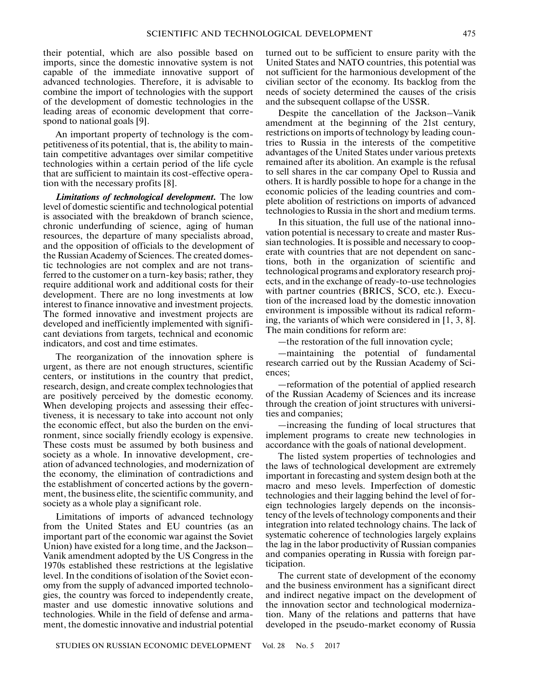their potential, which are also possible based on imports, since the domestic innovative system is not capable of the immediate innovative support of advanced technologies. Therefore, it is advisable to combine the import of technologies with the support of the development of domestic technologies in the leading areas of economic development that correspond to national goals [9].

An important property of technology is the competitiveness of its potential, that is, the ability to maintain competitive advantages over similar competitive technologies within a certain period of the life cycle that are sufficient to maintain its cost-effective operation with the necessary profits [8].

*Limitations of technological development.* The low level of domestic scientific and technological potential is associated with the breakdown of branch science, chronic underfunding of science, aging of human resources, the departure of many specialists abroad, and the opposition of officials to the development of the Russian Academy of Sciences. The created domestic technologies are not complex and are not transferred to the customer on a turn-key basis; rather, they require additional work and additional costs for their development. There are no long investments at low interest to finance innovative and investment projects. The formed innovative and investment projects are developed and inefficiently implemented with significant deviations from targets, technical and economic indicators, and cost and time estimates.

The reorganization of the innovation sphere is urgent, as there are not enough structures, scientific centers, or institutions in the country that predict, research, design, and create complex technologies that are positively perceived by the domestic economy. When developing projects and assessing their effectiveness, it is necessary to take into account not only the economic effect, but also the burden on the environment, since socially friendly ecology is expensive. These costs must be assumed by both business and society as a whole. In innovative development, creation of advanced technologies, and modernization of the economy, the elimination of contradictions and the establishment of concerted actions by the government, the business elite, the scientific community, and society as a whole play a significant role.

Limitations of imports of advanced technology from the United States and EU countries (as an important part of the economic war against the Soviet Union) have existed for a long time, and the Jackson– Vanik amendment adopted by the US Congress in the 1970s established these restrictions at the legislative level. In the conditions of isolation of the Soviet economy from the supply of advanced imported technologies, the country was forced to independently create, master and use domestic innovative solutions and technologies. While in the field of defense and armament, the domestic innovative and industrial potential

turned out to be sufficient to ensure parity with the United States and NATO countries, this potential was not sufficient for the harmonious development of the civilian sector of the economy. Its backlog from the needs of society determined the causes of the crisis and the subsequent collapse of the USSR.

Despite the cancellation of the Jackson–Vanik amendment at the beginning of the 21st century, restrictions on imports of technology by leading countries to Russia in the interests of the competitive advantages of the United States under various pretexts remained after its abolition. An example is the refusal to sell shares in the car company Opel to Russia and others. It is hardly possible to hope for a change in the economic policies of the leading countries and complete abolition of restrictions on imports of advanced technologies to Russia in the short and medium terms.

In this situation, the full use of the national innovation potential is necessary to create and master Russian technologies. It is possible and necessary to cooperate with countries that are not dependent on sanctions, both in the organization of scientific and technological programs and exploratory research projects, and in the exchange of ready-to-use technologies with partner countries (BRICS, SCO, etc.). Execution of the increased load by the domestic innovation environment is impossible without its radical reforming, the variants of which were considered in [1, 3, 8]. The main conditions for reform are:

—the restoration of the full innovation cycle;

—maintaining the potential of fundamental research carried out by the Russian Academy of Sciences;

—reformation of the potential of applied research of the Russian Academy of Sciences and its increase through the creation of joint structures with universities and companies;

—increasing the funding of local structures that implement programs to create new technologies in accordance with the goals of national development.

The listed system properties of technologies and the laws of technological development are extremely important in forecasting and system design both at the macro and meso levels. Imperfection of domestic technologies and their lagging behind the level of foreign technologies largely depends on the inconsistency of the levels of technology components and their integration into related technology chains. The lack of systematic coherence of technologies largely explains the lag in the labor productivity of Russian companies and companies operating in Russia with foreign participation.

The current state of development of the economy and the business environment has a significant direct and indirect negative impact on the development of the innovation sector and technological modernization. Many of the relations and patterns that have developed in the pseudo-market economy of Russia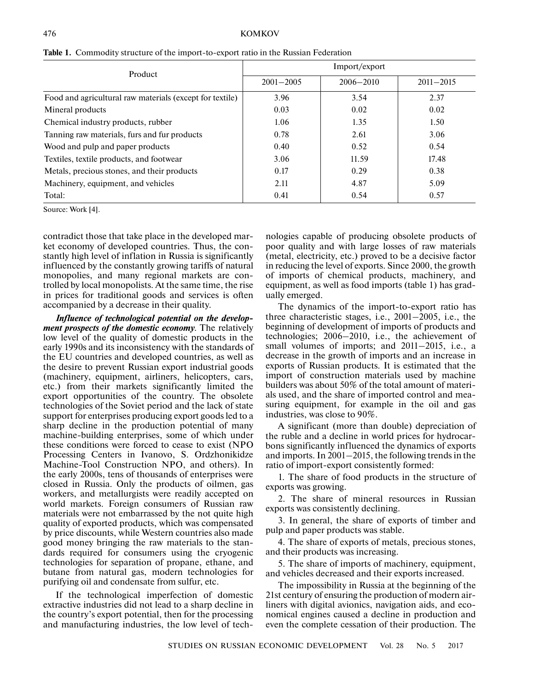| Product                                                  | Import/export |               |               |
|----------------------------------------------------------|---------------|---------------|---------------|
|                                                          | $2001 - 2005$ | $2006 - 2010$ | $2011 - 2015$ |
| Food and agricultural raw materials (except for textile) | 3.96          | 3.54          | 2.37          |
| Mineral products                                         | 0.03          | 0.02          | 0.02          |
| Chemical industry products, rubber                       | 1.06          | 1.35          | 1.50          |
| Tanning raw materials, furs and fur products             | 0.78          | 2.61          | 3.06          |
| Wood and pulp and paper products                         | 0.40          | 0.52          | 0.54          |
| Textiles, textile products, and footwear                 | 3.06          | 11.59         | 17.48         |
| Metals, precious stones, and their products              | 0.17          | 0.29          | 0.38          |
| Machinery, equipment, and vehicles                       | 2.11          | 4.87          | 5.09          |
| Total:                                                   | 0.41          | 0.54          | 0.57          |

**Table 1.** Commodity structure of the import-to-export ratio in the Russian Federation

Source: Work [4].

contradict those that take place in the developed market economy of developed countries. Thus, the constantly high level of inflation in Russia is significantly influenced by the constantly growing tariffs of natural monopolies, and many regional markets are controlled by local monopolists. At the same time, the rise in prices for traditional goods and services is often accompanied by a decrease in their quality.

*Influence of technological potential on the development prospects of the domestic economy*. The relatively low level of the quality of domestic products in the early 1990s and its inconsistency with the standards of the EU countries and developed countries, as well as the desire to prevent Russian export industrial goods (machinery, equipment, airliners, helicopters, cars, etc.) from their markets significantly limited the export opportunities of the country. The obsolete technologies of the Soviet period and the lack of state support for enterprises producing export goods led to a sharp decline in the production potential of many machine-building enterprises, some of which under these conditions were forced to cease to exist (NPO Processing Centers in Ivanovo, S. Ordzhonikidze Machine-Tool Construction NPO, and others). In the early 2000s, tens of thousands of enterprises were closed in Russia. Only the products of oilmen, gas workers, and metallurgists were readily accepted on world markets. Foreign consumers of Russian raw materials were not embarrassed by the not quite high quality of exported products, which was compensated by price discounts, while Western countries also made good money bringing the raw materials to the standards required for consumers using the cryogenic technologies for separation of propane, ethane, and butane from natural gas, modern technologies for purifying oil and condensate from sulfur, etc.

If the technological imperfection of domestic extractive industries did not lead to a sharp decline in the country's export potential, then for the processing and manufacturing industries, the low level of technologies capable of producing obsolete products of poor quality and with large losses of raw materials (metal, electricity, etc.) proved to be a decisive factor in reducing the level of exports. Since 2000, the growth of imports of chemical products, machinery, and equipment, as well as food imports (table 1) has gradually emerged.

The dynamics of the import-to-export ratio has three characteristic stages, i.e., 2001–2005, i.e., the beginning of development of imports of products and technologies; 2006–2010, i.e., the achievement of small volumes of imports; and 2011–2015, i.e., a decrease in the growth of imports and an increase in exports of Russian products. It is estimated that the import of construction materials used by machine builders was about 50% of the total amount of materials used, and the share of imported control and measuring equipment, for example in the oil and gas industries, was close to 90%.

A significant (more than double) depreciation of the ruble and a decline in world prices for hydrocarbons significantly influenced the dynamics of exports and imports. In 2001–2015, the following trends in the ratio of import-export consistently formed:

1. The share of food products in the structure of exports was growing.

2. The share of mineral resources in Russian exports was consistently declining.

3. In general, the share of exports of timber and pulp and paper products was stable.

4. The share of exports of metals, precious stones, and their products was increasing.

5. The share of imports of machinery, equipment, and vehicles decreased and their exports increased.

The impossibility in Russia at the beginning of the 21st century of ensuring the production of modern airliners with digital avionics, navigation aids, and economical engines caused a decline in production and even the complete cessation of their production. The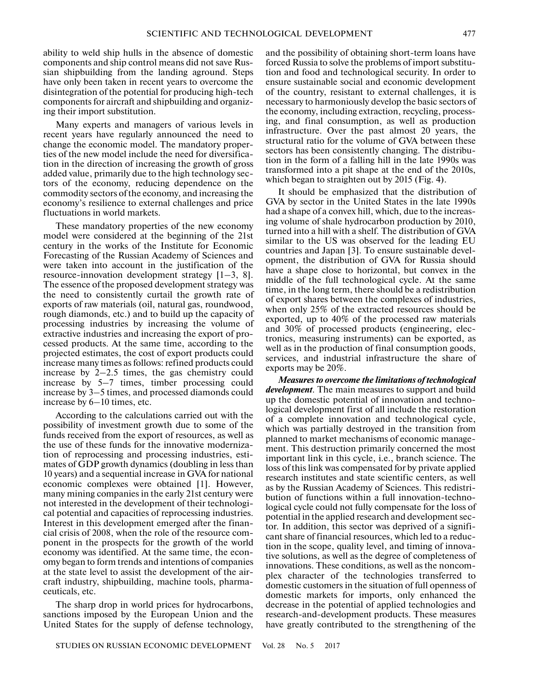ability to weld ship hulls in the absence of domestic components and ship control means did not save Russian shipbuilding from the landing aground. Steps have only been taken in recent years to overcome the disintegration of the potential for producing high-tech components for aircraft and shipbuilding and organizing their import substitution.

Many experts and managers of various levels in recent years have regularly announced the need to change the economic model. The mandatory properties of the new model include the need for diversification in the direction of increasing the growth of gross added value, primarily due to the high technology sectors of the economy, reducing dependence on the commodity sectors of the economy, and increasing the economy's resilience to external challenges and price fluctuations in world markets.

These mandatory properties of the new economy model were considered at the beginning of the 21st century in the works of the Institute for Economic Forecasting of the Russian Academy of Sciences and were taken into account in the justification of the resource-innovation development strategy  $[1-3, 8]$ . The essence of the proposed development strategy was the need to consistently curtail the growth rate of exports of raw materials (oil, natural gas, roundwood, rough diamonds, etc.) and to build up the capacity of processing industries by increasing the volume of extractive industries and increasing the export of processed products. At the same time, according to the projected estimates, the cost of export products could increase many times as follows: refined products could increase by 2–2.5 times, the gas chemistry could increase by 5–7 times, timber processing could increase by 3–5 times, and processed diamonds could increase by 6–10 times, etc.

According to the calculations carried out with the possibility of investment growth due to some of the funds received from the export of resources, as well as the use of these funds for the innovative modernization of reprocessing and processing industries, estimates of GDP growth dynamics (doubling in less than 10 years) and a sequential increase in GVA for national economic complexes were obtained [1]. However, many mining companies in the early 21st century were not interested in the development of their technological potential and capacities of reprocessing industries. Interest in this development emerged after the financial crisis of 2008, when the role of the resource component in the prospects for the growth of the world economy was identified. At the same time, the economy began to form trends and intentions of companies at the state level to assist the development of the aircraft industry, shipbuilding, machine tools, pharmaceuticals, etc.

The sharp drop in world prices for hydrocarbons, sanctions imposed by the European Union and the United States for the supply of defense technology, and the possibility of obtaining short-term loans have forced Russia to solve the problems of import substitution and food and technological security. In order to ensure sustainable social and economic development of the country, resistant to external challenges, it is necessary to harmoniously develop the basic sectors of the economy, including extraction, recycling, processing, and final consumption, as well as production infrastructure. Over the past almost 20 years, the structural ratio for the volume of GVA between these sectors has been consistently changing. The distribution in the form of a falling hill in the late 1990s was transformed into a pit shape at the end of the 2010s, which began to straighten out by 2015 (Fig. 4).

It should be emphasized that the distribution of GVA by sector in the United States in the late 1990s had a shape of a convex hill, which, due to the increasing volume of shale hydrocarbon production by 2010, turned into a hill with a shelf. The distribution of GVA similar to the US was observed for the leading EU countries and Japan [3]. To ensure sustainable development, the distribution of GVA for Russia should have a shape close to horizontal, but convex in the middle of the full technological cycle. At the same time, in the long term, there should be a redistribution of export shares between the complexes of industries, when only 25% of the extracted resources should be exported, up to 40% of the processed raw materials and 30% of processed products (engineering, electronics, measuring instruments) can be exported, as well as in the production of final consumption goods, services, and industrial infrastructure the share of exports may be 20%.

*Measures to overcome the limitations of technological development*. The main measures to support and build up the domestic potential of innovation and technological development first of all include the restoration of a complete innovation and technological cycle, which was partially destroyed in the transition from planned to market mechanisms of economic management. This destruction primarily concerned the most important link in this cycle, i.e., branch science. The loss of this link was compensated for by private applied research institutes and state scientific centers, as well as by the Russian Academy of Sciences. This redistribution of functions within a full innovation-technological cycle could not fully compensate for the loss of potential in the applied research and development sector. In addition, this sector was deprived of a significant share of financial resources, which led to a reduction in the scope, quality level, and timing of innovative solutions, as well as the degree of completeness of innovations. These conditions, as well as the noncomplex character of the technologies transferred to domestic customers in the situation of full openness of domestic markets for imports, only enhanced the decrease in the potential of applied technologies and research-and-development products. These measures have greatly contributed to the strengthening of the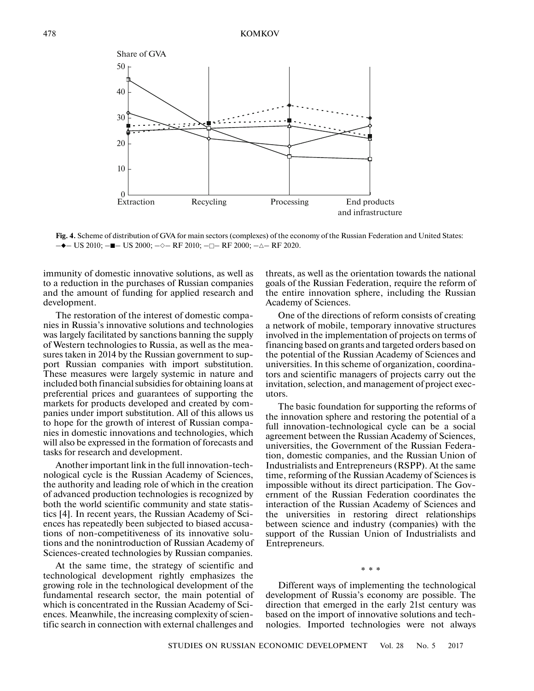

**Fig. 4.** Scheme of distribution of GVA for main sectors (complexes) of the economy of the Russian Federation and United States:  $-\blacktriangleright$  US 2010;  $-\blacksquare$  US 2000;  $-\lozenge$  – RF 2010;  $-\square$  – RF 2000;  $-\triangle$  – RF 2020.

immunity of domestic innovative solutions, as well as to a reduction in the purchases of Russian companies and the amount of funding for applied research and development.

The restoration of the interest of domestic companies in Russia's innovative solutions and technologies was largely facilitated by sanctions banning the supply of Western technologies to Russia, as well as the measures taken in 2014 by the Russian government to support Russian companies with import substitution. These measures were largely systemic in nature and included both financial subsidies for obtaining loans at preferential prices and guarantees of supporting the markets for products developed and created by companies under import substitution. All of this allows us to hope for the growth of interest of Russian companies in domestic innovations and technologies, which will also be expressed in the formation of forecasts and tasks for research and development.

Another important link in the full innovation-technological cycle is the Russian Academy of Sciences, the authority and leading role of which in the creation of advanced production technologies is recognized by both the world scientific community and state statistics [4]. In recent years, the Russian Academy of Sciences has repeatedly been subjected to biased accusations of non-competitiveness of its innovative solutions and the nonintroduction of Russian Academy of Sciences-created technologies by Russian companies.

At the same time, the strategy of scientific and technological development rightly emphasizes the growing role in the technological development of the fundamental research sector, the main potential of which is concentrated in the Russian Academy of Sciences. Meanwhile, the increasing complexity of scientific search in connection with external challenges and

threats, as well as the orientation towards the national goals of the Russian Federation, require the reform of the entire innovation sphere, including the Russian Academy of Sciences.

One of the directions of reform consists of creating a network of mobile, temporary innovative structures involved in the implementation of projects on terms of financing based on grants and targeted orders based on the potential of the Russian Academy of Sciences and universities. In this scheme of organization, coordinators and scientific managers of projects carry out the invitation, selection, and management of project executors.

The basic foundation for supporting the reforms of the innovation sphere and restoring the potential of a full innovation-technological cycle can be a social agreement between the Russian Academy of Sciences, universities, the Government of the Russian Federation, domestic companies, and the Russian Union of Industrialists and Entrepreneurs (RSPP). At the same time, reforming of the Russian Academy of Sciences is impossible without its direct participation. The Government of the Russian Federation coordinates the interaction of the Russian Academy of Sciences and the universities in restoring direct relationships between science and industry (companies) with the support of the Russian Union of Industrialists and Entrepreneurs.

\* \* \*

Different ways of implementing the technological development of Russia's economy are possible. The direction that emerged in the early 21st century was based on the import of innovative solutions and technologies. Imported technologies were not always